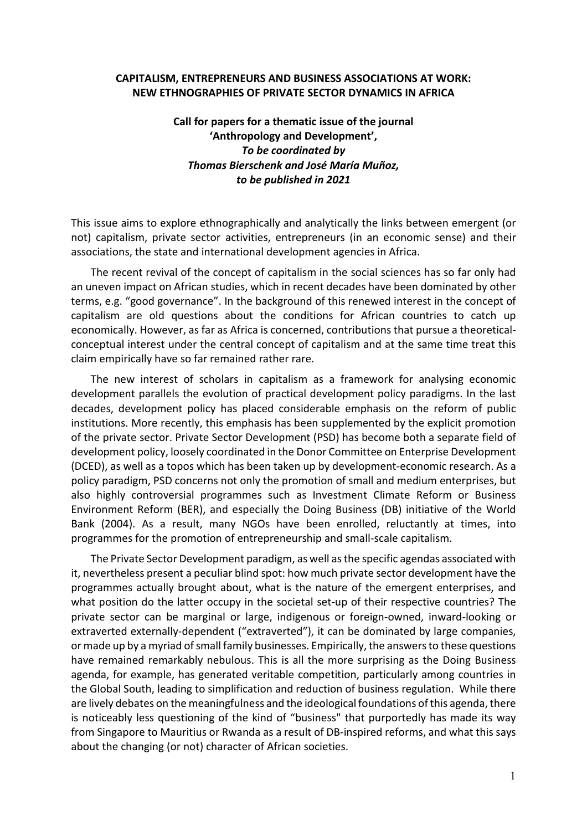## **CAPITALISM, ENTREPRENEURS AND BUSINESS ASSOCIATIONS AT WORK: NEW ETHNOGRAPHIES OF PRIVATE SECTOR DYNAMICS IN AFRICA**

## **Call for papers for a thematic issue of the journal 'Anthropology and Development',**  *To be coordinated by Thomas Bierschenk and José María Muñoz, to be published in 2021*

This issue aims to explore ethnographically and analytically the links between emergent (or not) capitalism, private sector activities, entrepreneurs (in an economic sense) and their associations, the state and international development agencies in Africa.

The recent revival of the concept of capitalism in the social sciences has so far only had an uneven impact on African studies, which in recent decades have been dominated by other terms, e.g. "good governance". In the background of this renewed interest in the concept of capitalism are old questions about the conditions for African countries to catch up economically. However, as far as Africa is concerned, contributions that pursue a theoreticalconceptual interest under the central concept of capitalism and at the same time treat this claim empirically have so far remained rather rare.

The new interest of scholars in capitalism as a framework for analysing economic development parallels the evolution of practical development policy paradigms. In the last decades, development policy has placed considerable emphasis on the reform of public institutions. More recently, this emphasis has been supplemented by the explicit promotion of the private sector. Private Sector Development (PSD) has become both a separate field of development policy, loosely coordinated in the Donor Committee on Enterprise Development (DCED), as well as a topos which has been taken up by development-economic research. As a policy paradigm, PSD concerns not only the promotion of small and medium enterprises, but also highly controversial programmes such as Investment Climate Reform or Business Environment Reform (BER), and especially the Doing Business (DB) initiative of the World Bank (2004). As a result, many NGOs have been enrolled, reluctantly at times, into programmes for the promotion of entrepreneurship and small-scale capitalism.

The Private Sector Development paradigm, as well as the specific agendas associated with it, nevertheless present a peculiar blind spot: how much private sector development have the programmes actually brought about, what is the nature of the emergent enterprises, and what position do the latter occupy in the societal set-up of their respective countries? The private sector can be marginal or large, indigenous or foreign-owned, inward-looking or extraverted externally-dependent ("extraverted"), it can be dominated by large companies, or made up by a myriad of small family businesses. Empirically, the answers to these questions have remained remarkably nebulous. This is all the more surprising as the Doing Business agenda, for example, has generated veritable competition, particularly among countries in the Global South, leading to simplification and reduction of business regulation. While there are lively debates on the meaningfulness and the ideological foundations of this agenda, there is noticeably less questioning of the kind of "business" that purportedly has made its way from Singapore to Mauritius or Rwanda as a result of DB-inspired reforms, and what this says about the changing (or not) character of African societies.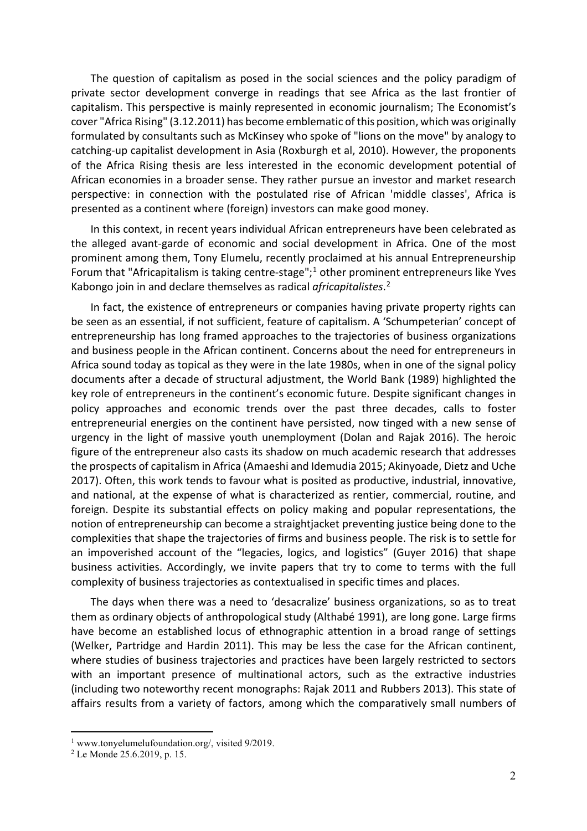The question of capitalism as posed in the social sciences and the policy paradigm of private sector development converge in readings that see Africa as the last frontier of capitalism. This perspective is mainly represented in economic journalism; The Economist's cover "Africa Rising" (3.12.2011) has become emblematic of this position, which was originally formulated by consultants such as McKinsey who spoke of "lions on the move" by analogy to catching-up capitalist development in Asia (Roxburgh et al, 2010). However, the proponents of the Africa Rising thesis are less interested in the economic development potential of African economies in a broader sense. They rather pursue an investor and market research perspective: in connection with the postulated rise of African 'middle classes', Africa is presented as a continent where (foreign) investors can make good money.

In this context, in recent years individual African entrepreneurs have been celebrated as the alleged avant-garde of economic and social development in Africa. One of the most prominent among them, Tony Elumelu, recently proclaimed at his annual Entrepreneurship Forum that "Africapitalism is taking centre-stage";<sup>[1](#page-1-0)</sup> other prominent entrepreneurs like Yves Kabongo join in and declare themselves as radical *africapitalistes*. [2](#page-1-1)

In fact, the existence of entrepreneurs or companies having private property rights can be seen as an essential, if not sufficient, feature of capitalism. A 'Schumpeterian' concept of entrepreneurship has long framed approaches to the trajectories of business organizations and business people in the African continent. Concerns about the need for entrepreneurs in Africa sound today as topical as they were in the late 1980s, when in one of the signal policy documents after a decade of structural adjustment, the World Bank (1989) highlighted the key role of entrepreneurs in the continent's economic future. Despite significant changes in policy approaches and economic trends over the past three decades, calls to foster entrepreneurial energies on the continent have persisted, now tinged with a new sense of urgency in the light of massive youth unemployment (Dolan and Rajak 2016). The heroic figure of the entrepreneur also casts its shadow on much academic research that addresses the prospects of capitalism in Africa (Amaeshi and Idemudia 2015; Akinyoade, Dietz and Uche 2017). Often, this work tends to favour what is posited as productive, industrial, innovative, and national, at the expense of what is characterized as rentier, commercial, routine, and foreign. Despite its substantial effects on policy making and popular representations, the notion of entrepreneurship can become a straightjacket preventing justice being done to the complexities that shape the trajectories of firms and business people. The risk is to settle for an impoverished account of the "legacies, logics, and logistics" (Guyer 2016) that shape business activities. Accordingly, we invite papers that try to come to terms with the full complexity of business trajectories as contextualised in specific times and places.

The days when there was a need to 'desacralize' business organizations, so as to treat them as ordinary objects of anthropological study (Althabé 1991), are long gone. Large firms have become an established locus of ethnographic attention in a broad range of settings (Welker, Partridge and Hardin 2011). This may be less the case for the African continent, where studies of business trajectories and practices have been largely restricted to sectors with an important presence of multinational actors, such as the extractive industries (including two noteworthy recent monographs: Rajak 2011 and Rubbers 2013). This state of affairs results from a variety of factors, among which the comparatively small numbers of

<span id="page-1-0"></span><sup>&</sup>lt;sup>1</sup> www.tonyelumelufoundation.org/, visited 9/2019.

<span id="page-1-1"></span><sup>2</sup> Le Monde 25.6.2019, p. 15.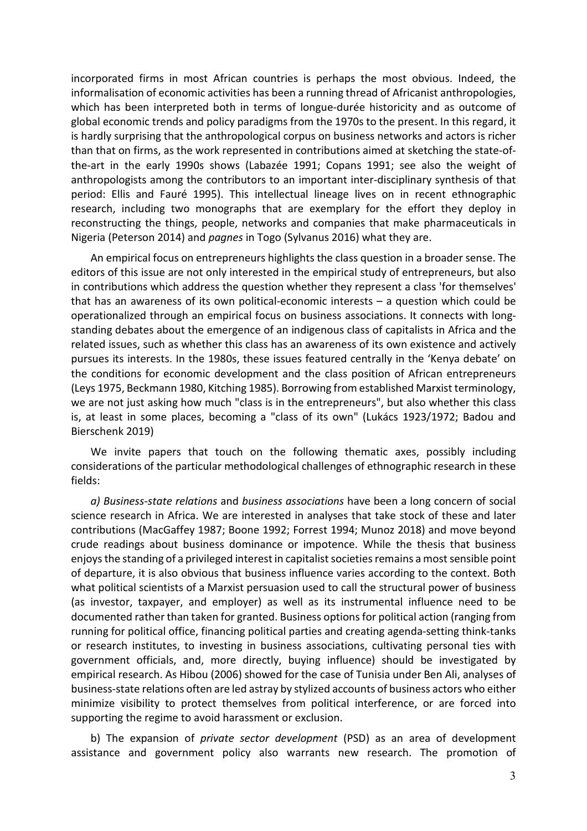incorporated firms in most African countries is perhaps the most obvious. Indeed, the informalisation of economic activities has been a running thread of Africanist anthropologies, which has been interpreted both in terms of longue-durée historicity and as outcome of global economic trends and policy paradigms from the 1970s to the present. In this regard, it is hardly surprising that the anthropological corpus on business networks and actors is richer than that on firms, as the work represented in contributions aimed at sketching the state-ofthe-art in the early 1990s shows (Labazée 1991; Copans 1991; see also the weight of anthropologists among the contributors to an important inter-disciplinary synthesis of that period: Ellis and Fauré 1995). This intellectual lineage lives on in recent ethnographic research, including two monographs that are exemplary for the effort they deploy in reconstructing the things, people, networks and companies that make pharmaceuticals in Nigeria (Peterson 2014) and *pagnes* in Togo (Sylvanus 2016) what they are.

An empirical focus on entrepreneurs highlights the class question in a broader sense. The editors of this issue are not only interested in the empirical study of entrepreneurs, but also in contributions which address the question whether they represent a class 'for themselves' that has an awareness of its own political-economic interests  $-$  a question which could be operationalized through an empirical focus on business associations. It connects with longstanding debates about the emergence of an indigenous class of capitalists in Africa and the related issues, such as whether this class has an awareness of its own existence and actively pursues its interests. In the 1980s, these issues featured centrally in the 'Kenya debate' on the conditions for economic development and the class position of African entrepreneurs (Leys 1975, Beckmann 1980, Kitching 1985). Borrowing from established Marxist terminology, we are not just asking how much "class is in the entrepreneurs", but also whether this class is, at least in some places, becoming a "class of its own" (Lukács 1923/1972; Badou and Bierschenk 2019)

We invite papers that touch on the following thematic axes, possibly including considerations of the particular methodological challenges of ethnographic research in these fields:

*a) Business-state relations* and *business associations* have been a long concern of social science research in Africa. We are interested in analyses that take stock of these and later contributions (MacGaffey 1987; Boone 1992; Forrest 1994; Munoz 2018) and move beyond crude readings about business dominance or impotence. While the thesis that business enjoys the standing of a privileged interest in capitalist societies remains a most sensible point of departure, it is also obvious that business influence varies according to the context. Both what political scientists of a Marxist persuasion used to call the structural power of business (as investor, taxpayer, and employer) as well as its instrumental influence need to be documented rather than taken for granted. Business options for political action (ranging from running for political office, financing political parties and creating agenda-setting think-tanks or research institutes, to investing in business associations, cultivating personal ties with government officials, and, more directly, buying influence) should be investigated by empirical research. As Hibou (2006) showed for the case of Tunisia under Ben Ali, analyses of business-state relations often are led astray by stylized accounts of business actors who either minimize visibility to protect themselves from political interference, or are forced into supporting the regime to avoid harassment or exclusion.

b) The expansion of *private sector development* (PSD) as an area of development assistance and government policy also warrants new research. The promotion of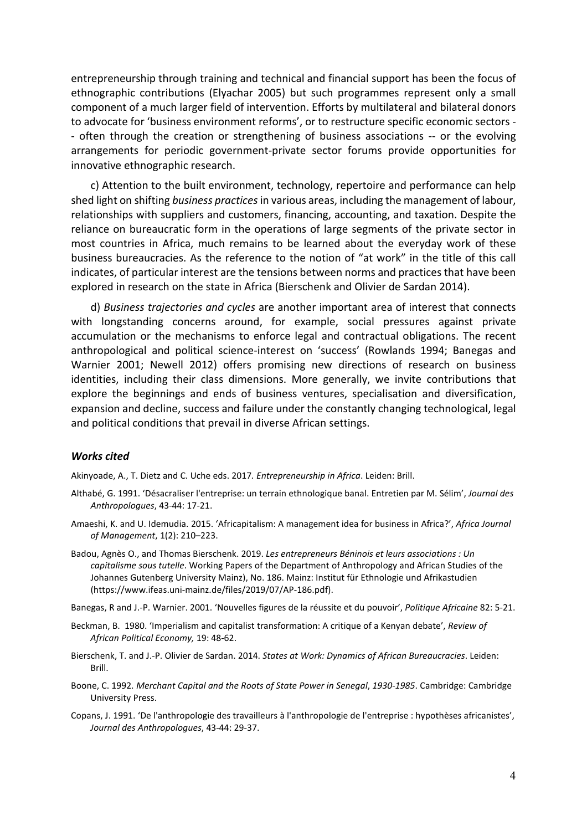entrepreneurship through training and technical and financial support has been the focus of ethnographic contributions (Elyachar 2005) but such programmes represent only a small component of a much larger field of intervention. Efforts by multilateral and bilateral donors to advocate for 'business environment reforms', or to restructure specific economic sectors - - often through the creation or strengthening of business associations -- or the evolving arrangements for periodic government-private sector forums provide opportunities for innovative ethnographic research.

c) Attention to the built environment, technology, repertoire and performance can help shed light on shifting *business practices*in various areas, including the management of labour, relationships with suppliers and customers, financing, accounting, and taxation. Despite the reliance on bureaucratic form in the operations of large segments of the private sector in most countries in Africa, much remains to be learned about the everyday work of these business bureaucracies. As the reference to the notion of "at work" in the title of this call indicates, of particular interest are the tensions between norms and practices that have been explored in research on the state in Africa (Bierschenk and Olivier de Sardan 2014).

d) *Business trajectories and cycles* are another important area of interest that connects with longstanding concerns around, for example, social pressures against private accumulation or the mechanisms to enforce legal and contractual obligations. The recent anthropological and political science-interest on 'success' (Rowlands 1994; Banegas and Warnier 2001; Newell 2012) offers promising new directions of research on business identities, including their class dimensions. More generally, we invite contributions that explore the beginnings and ends of business ventures, specialisation and diversification, expansion and decline, success and failure under the constantly changing technological, legal and political conditions that prevail in diverse African settings.

## *Works cited*

Akinyoade, A., T. Dietz and C. Uche eds. 2017*. Entrepreneurship in Africa*. Leiden: Brill.

- Althabé, G. 1991. 'Désacraliser l'entreprise: un terrain ethnologique banal. Entretien par M. Sélim', *Journal des Anthropologues*, 43-44: 17-21.
- Amaeshi, K. and U. Idemudia. 2015. 'Africapitalism: A management idea for business in Africa?', *Africa Journal of Management*, 1(2): 210–223.
- Badou, Agnès O., and Thomas Bierschenk. 2019. *Les entrepreneurs Béninois et leurs associations : Un capitalisme sous tutelle*. Working Papers of the Department of Anthropology and African Studies of the Johannes Gutenberg University Mainz), No. 186. Mainz: Institut für Ethnologie und Afrikastudien (https://www.ifeas.uni-mainz.de/files/2019/07/AP-186.pdf).
- Banegas, R and J.-P. Warnier. 2001. 'Nouvelles figures de la réussite et du pouvoir', *Politique Africaine* 82: 5-21.
- Beckman, B. 1980. 'Imperialism and capitalist transformation: A critique of a Kenyan debate', *Review of African Political Economy,* 19: 48-62.
- Bierschenk, T. and J.-P. Olivier de Sardan. 2014. *States at Work: Dynamics of African Bureaucracies*. Leiden: Brill.
- Boone, C. 1992. *Merchant Capital and the Roots of State Power in Senegal*, *1930-1985*. Cambridge: Cambridge University Press.
- Copans, J. 1991. 'De l'anthropologie des travailleurs à l'anthropologie de l'entreprise : hypothèses africanistes', *Journal des Anthropologues*, 43-44: 29-37.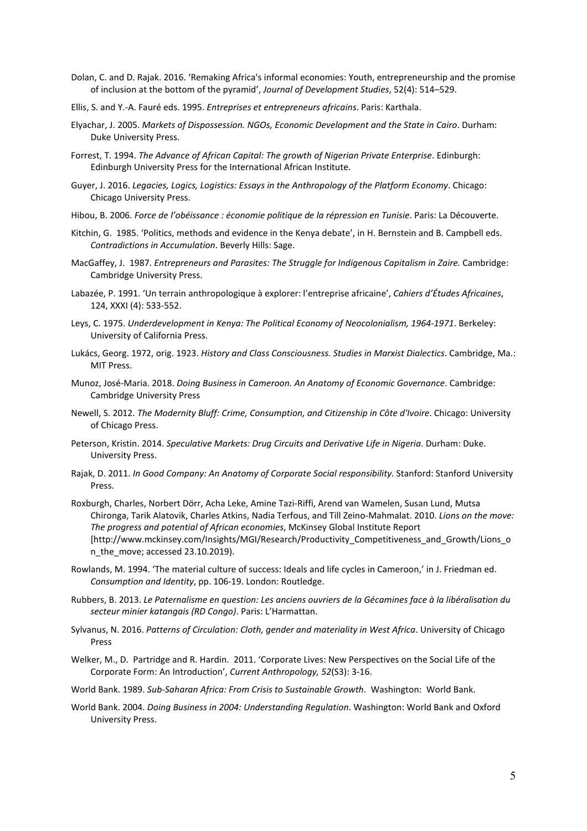- Dolan, C. and D. Rajak. 2016. 'Remaking Africa's informal economies: Youth, entrepreneurship and the promise of inclusion at the bottom of the pyramid', *Journal of Development Studies*, 52(4): 514–529.
- Ellis, S. and Y.-A. Fauré eds. 1995. *Entreprises et entrepreneurs africains*. Paris: Karthala.
- Elyachar, J. 2005. *Markets of Dispossession. NGOs, Economic Development and the State in Cairo*. Durham: Duke University Press.
- Forrest, T. 1994. *The Advance of African Capital: The growth of Nigerian Private Enterprise*. Edinburgh: Edinburgh University Press for the International African Institute.
- Guyer, J. 2016. *Legacies, Logics, Logistics: Essays in the Anthropology of the Platform Economy*. Chicago: Chicago University Press.
- Hibou, B. 2006. *Force de l'obéissance : économie politique de la répression en Tunisie*. Paris: La Découverte.
- Kitchin, G. 1985. 'Politics, methods and evidence in the Kenya debate', in H. Bernstein and B. Campbell eds. *Contradictions in Accumulation*. Beverly Hills: Sage.
- MacGaffey, J. 1987. *Entrepreneurs and Parasites: The Struggle for Indigenous Capitalism in Zaire.* Cambridge: Cambridge University Press.
- Labazée, P. 1991. 'Un terrain anthropologique à explorer: l'entreprise africaine', *Cahiers d'Études Africaines*, 124, XXXI (4): 533-552.
- Leys, C. 1975. *Underdevelopment in Kenya: The Political Economy of Neocolonialism, 1964-1971*. Berkeley: University of California Press.
- Lukács, Georg. 1972, orig. 1923. *History and Class Consciousness. Studies in Marxist Dialectics*. Cambridge, Ma.: MIT Press.
- Munoz, José-Maria. 2018. *Doing Business in Cameroon. An Anatomy of Economic Governance*. Cambridge: Cambridge University Press
- Newell, S. 2012. *The Modernity Bluff: Crime, Consumption, and Citizenship in Côte d'Ivoire*. Chicago: University of Chicago Press.
- Peterson, Kristin. 2014. *Speculative Markets: Drug Circuits and Derivative Life in Nigeria*. Durham: Duke. University Press.
- Rajak, D. 2011. *In Good Company: An Anatomy of Corporate Social responsibility*. Stanford: Stanford University Press.
- Roxburgh, Charles, Norbert Dörr, Acha Leke, Amine Tazi-Riffi, Arend van Wamelen, Susan Lund, Mutsa Chironga, Tarik Alatovik, Charles Atkins, Nadia Terfous, and Till Zeino-Mahmalat. 2010. *Lions on the move: The progress and potential of African economies*, McKinsey Global Institute Report [http://www.mckinsey.com/Insights/MGI/Research/Productivity\_Competitiveness\_and\_Growth/Lions\_o n\_the\_move; accessed 23.10.2019).
- Rowlands, M. 1994. 'The material culture of success: Ideals and life cycles in Cameroon,' in J. Friedman ed. *Consumption and Identity*, pp. 106-19. London: Routledge.
- Rubbers, B. 2013. *Le Paternalisme en question: Les anciens ouvriers de la Gécamines face à la libéralisation du secteur minier katangais (RD Congo)*. Paris: L'Harmattan.
- Sylvanus, N. 2016. *Patterns of Circulation: Cloth, gender and materiality in West Africa*. University of Chicago Press
- Welker, M., D. Partridge and R. Hardin. 2011. 'Corporate Lives: New Perspectives on the Social Life of the Corporate Form: An Introduction', *Current Anthropology, 52*(S3): 3-16.
- World Bank. 1989. *Sub-Saharan Africa: From Crisis to Sustainable Growth*. Washington: World Bank.
- World Bank. 2004. *Doing Business in 2004: Understanding Regulation*. Washington: World Bank and Oxford University Press.